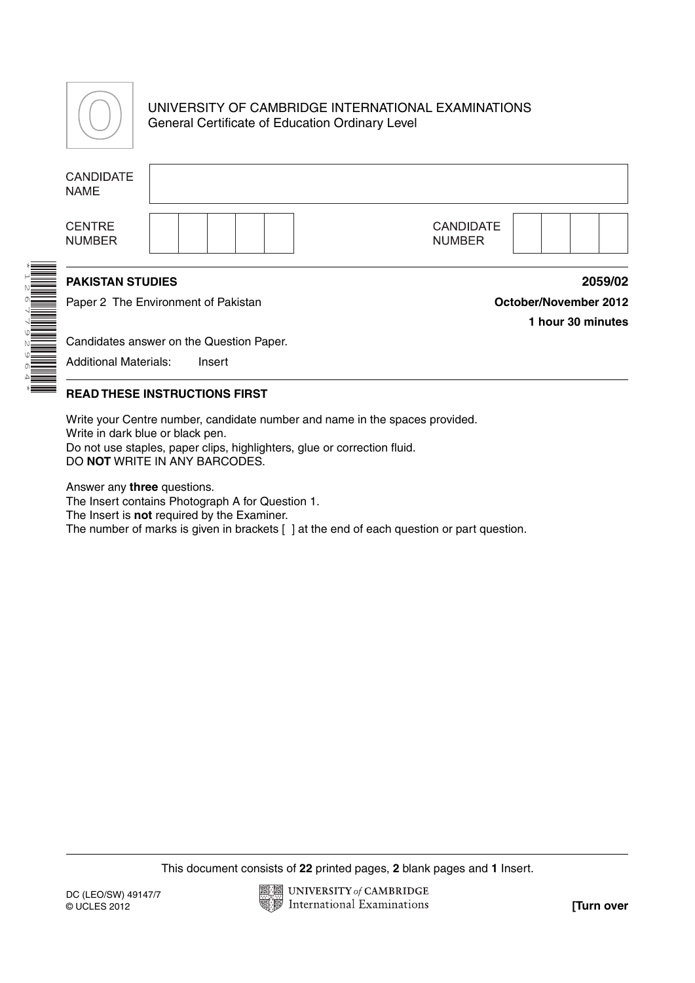

## UNIVERSITY OF CAMBRIDGE INTERNATIONAL EXAMINATIONS General Certificate of Education Ordinary Level

| <b>CANDIDATE</b><br><b>NAME</b> |                                          |                                   |                       |
|---------------------------------|------------------------------------------|-----------------------------------|-----------------------|
| <b>CENTRE</b><br><b>NUMBER</b>  |                                          | <b>CANDIDATE</b><br><b>NUMBER</b> |                       |
|                                 |                                          |                                   |                       |
| <b>PAKISTAN STUDIES</b>         |                                          |                                   | 2059/02               |
|                                 | Paper 2 The Environment of Pakistan      |                                   | October/November 2012 |
|                                 |                                          |                                   | 1 hour 30 minutes     |
|                                 | Candidates answer on the Question Paper. |                                   |                       |
| <b>Additional Materials:</b>    | Insert                                   |                                   |                       |
|                                 | <b>READ THESE INSTRUCTIONS FIRST</b>     |                                   |                       |

## **READ THESE INSTRUCTIONS FIRST**

Write your Centre number, candidate number and name in the spaces provided. Write in dark blue or black pen. Do not use staples, paper clips, highlighters, glue or correction fluid. DO **NOT** WRITE IN ANY BARCODES.

Answer any **three** questions.

The Insert contains Photograph A for Question 1.

The Insert is **not** required by the Examiner.

The number of marks is given in brackets [ ] at the end of each question or part question.

This document consists of **22** printed pages, **2** blank pages and **1** Insert.

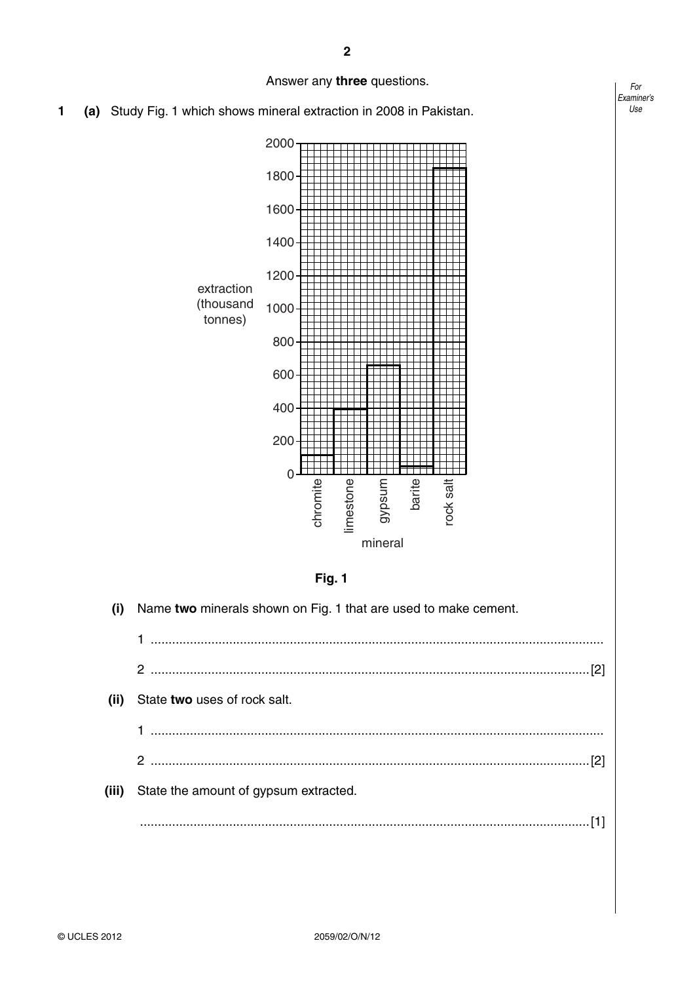Answer any **three** questions.

**1 (a)** Study Fig. 1 which shows mineral extraction in 2008 in Pakistan.

*For Examiner's Use*





| (i)   | Name two minerals shown on Fig. 1 that are used to make cement. |  |
|-------|-----------------------------------------------------------------|--|
|       |                                                                 |  |
|       |                                                                 |  |
| (ii)  | State two uses of rock salt.                                    |  |
|       |                                                                 |  |
|       |                                                                 |  |
| (iii) | State the amount of gypsum extracted.                           |  |
|       |                                                                 |  |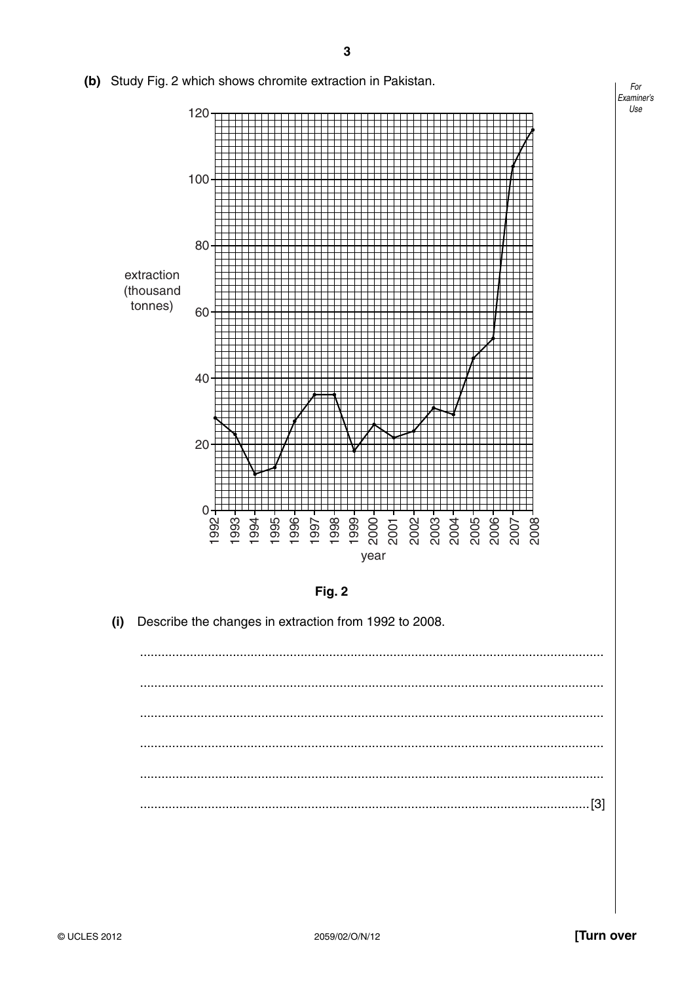

2059/02/O/N/12

@ UCLES 2012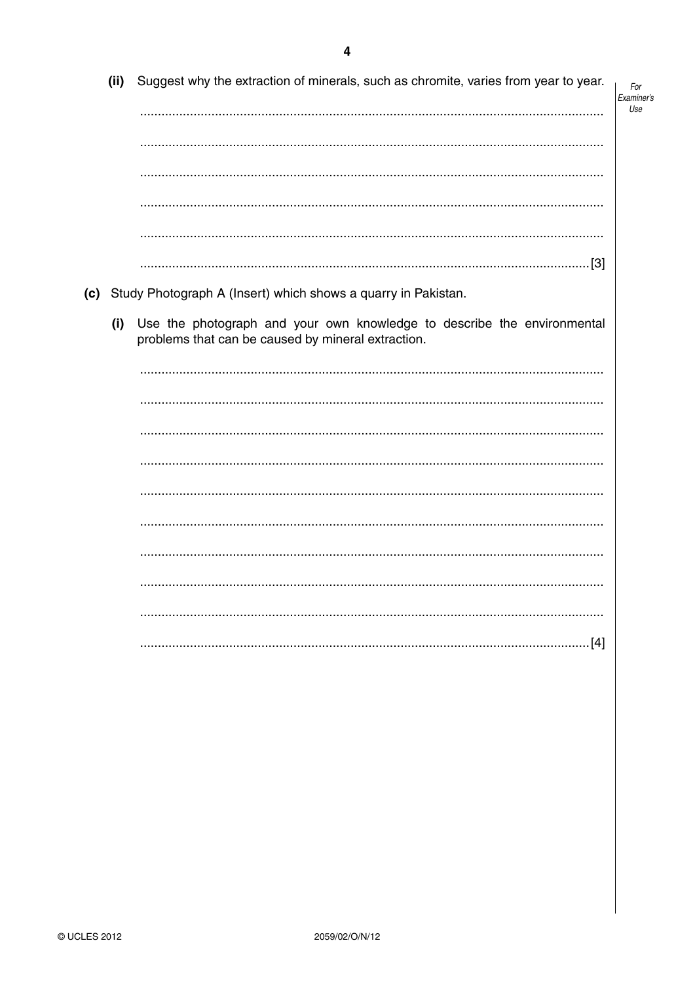$(ii)$ Suggest why the extraction of minerals, such as chromite, varies from year to year. Examiner's . . . . . . . . . . . . . .  $\ddotsc$ (c) Study Photograph A (Insert) which shows a quarry in Pakistan.  $(i)$ Use the photograph and your own knowledge to describe the environmental problems that can be caused by mineral extraction. 

For

Use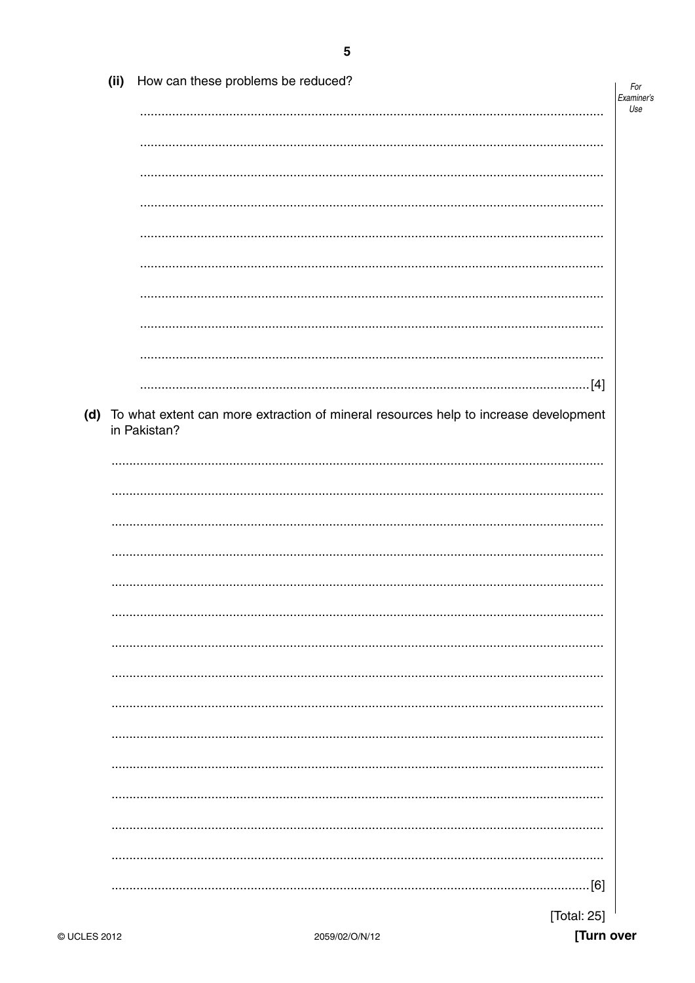| (ii) | How can these problems be reduced?                                                       |            |
|------|------------------------------------------------------------------------------------------|------------|
|      |                                                                                          | Examiner's |
|      |                                                                                          |            |
|      |                                                                                          |            |
|      |                                                                                          |            |
|      |                                                                                          |            |
|      |                                                                                          |            |
|      |                                                                                          |            |
|      |                                                                                          |            |
|      |                                                                                          |            |
|      | (d) To what extent can more extraction of mineral resources help to increase development |            |
|      |                                                                                          |            |
|      |                                                                                          |            |
|      |                                                                                          |            |
|      |                                                                                          |            |
|      |                                                                                          |            |
|      |                                                                                          |            |
|      |                                                                                          |            |
|      |                                                                                          |            |
|      |                                                                                          |            |
|      |                                                                                          |            |
|      |                                                                                          |            |
|      |                                                                                          |            |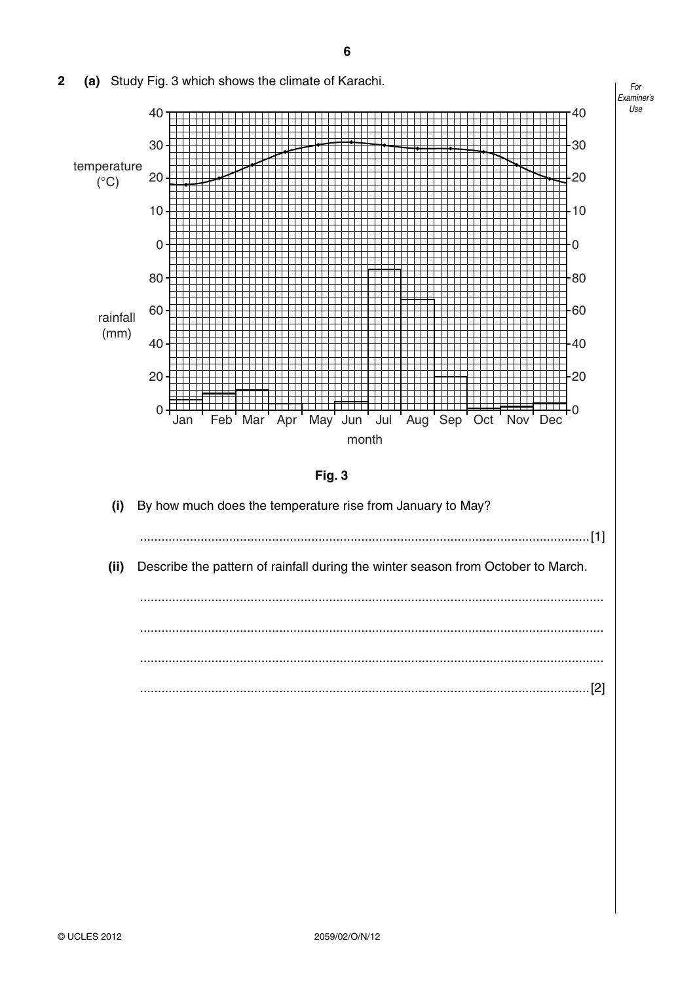

**6**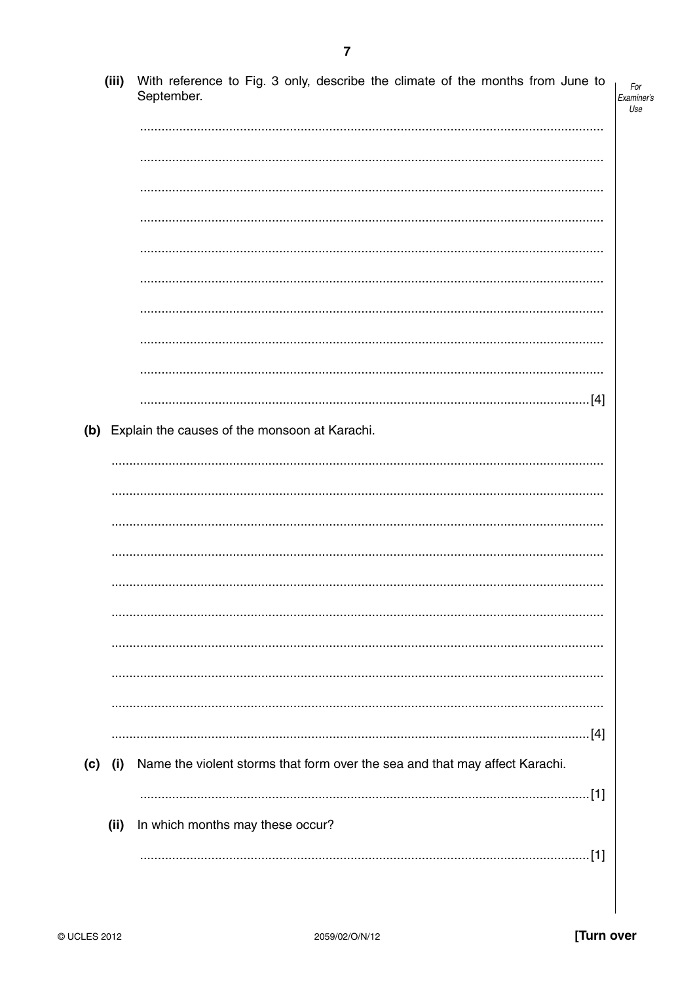|     | (iii) | With reference to Fig. 3 only, describe the climate of the months from June to<br>September. | For<br>Examiner's<br>Use |
|-----|-------|----------------------------------------------------------------------------------------------|--------------------------|
|     |       |                                                                                              |                          |
|     |       |                                                                                              |                          |
|     |       |                                                                                              |                          |
|     |       |                                                                                              |                          |
|     |       |                                                                                              |                          |
|     |       |                                                                                              |                          |
|     |       |                                                                                              |                          |
|     |       |                                                                                              |                          |
|     |       |                                                                                              |                          |
|     |       |                                                                                              |                          |
|     |       | (b) Explain the causes of the monsoon at Karachi.                                            |                          |
|     |       |                                                                                              |                          |
|     |       |                                                                                              |                          |
|     |       |                                                                                              |                          |
|     |       |                                                                                              |                          |
|     |       |                                                                                              |                          |
|     |       |                                                                                              |                          |
|     |       |                                                                                              |                          |
|     |       |                                                                                              |                          |
|     |       |                                                                                              |                          |
|     |       |                                                                                              |                          |
| (c) | (i)   | Name the violent storms that form over the sea and that may affect Karachi.                  |                          |
|     |       |                                                                                              |                          |
|     | (ii)  | In which months may these occur?                                                             |                          |
|     |       |                                                                                              |                          |

 $\overline{7}$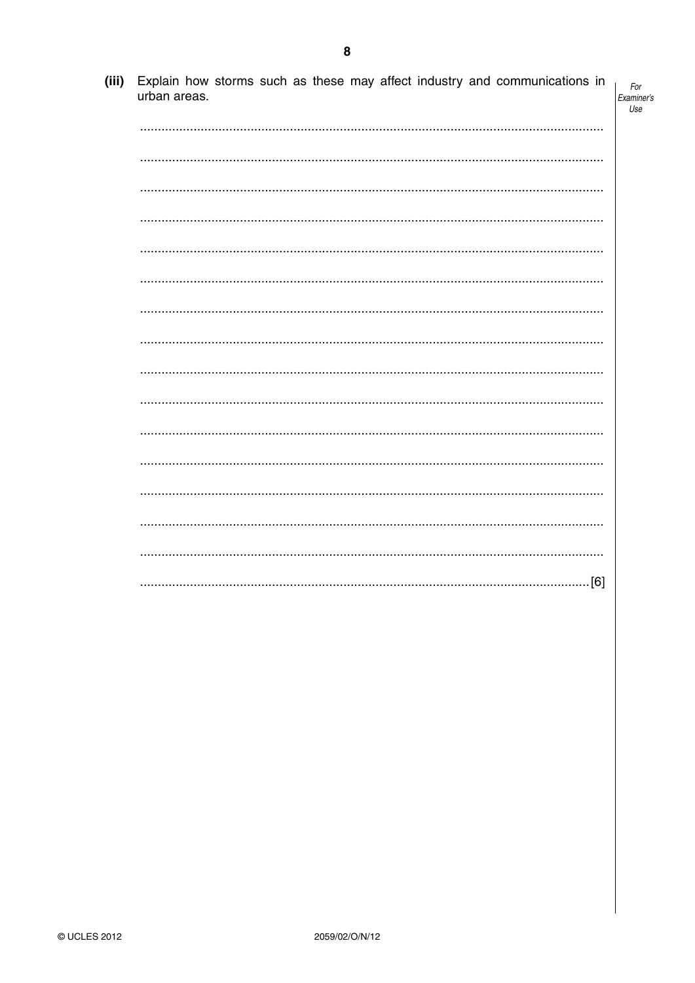$(iii)$ Explain how storms such as these may affect industry and communications in For urban areas. Examiner's Use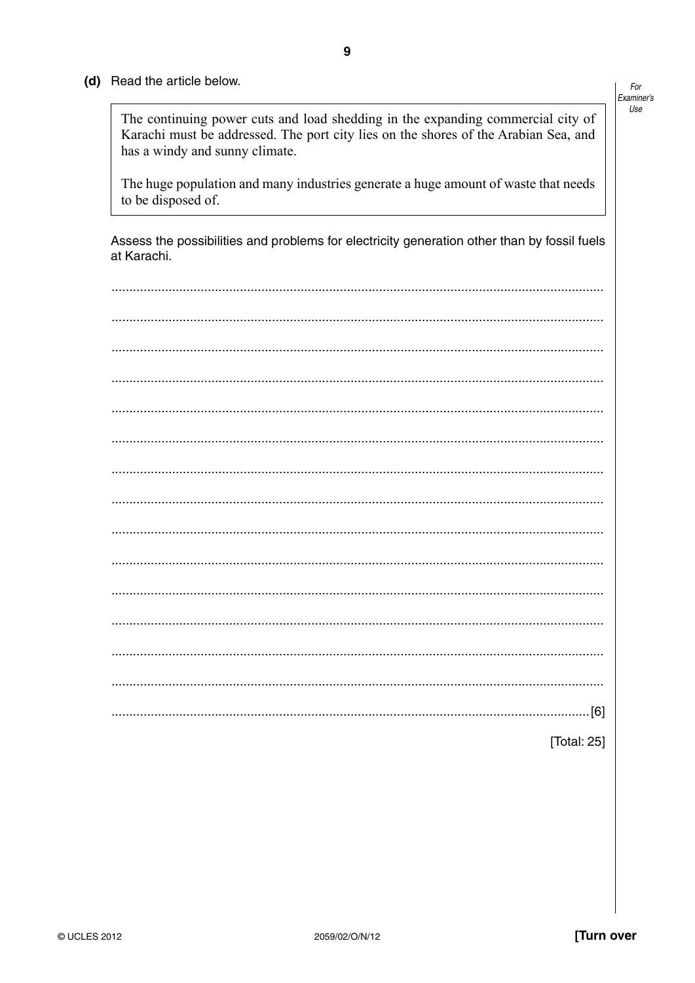The continuing power cuts and load shedding in the expanding commercial city of Karachi must be addressed. The port city lies on the shores of the Arabian Sea, and has a windy and sunny climate.

The huge population and many industries generate a huge amount of waste that needs to be disposed of.

Assess the possibilities and problems for electricity generation other than by fossil fuels at Karachi.

| [Total: 25] |
|-------------|

For Examiner's Use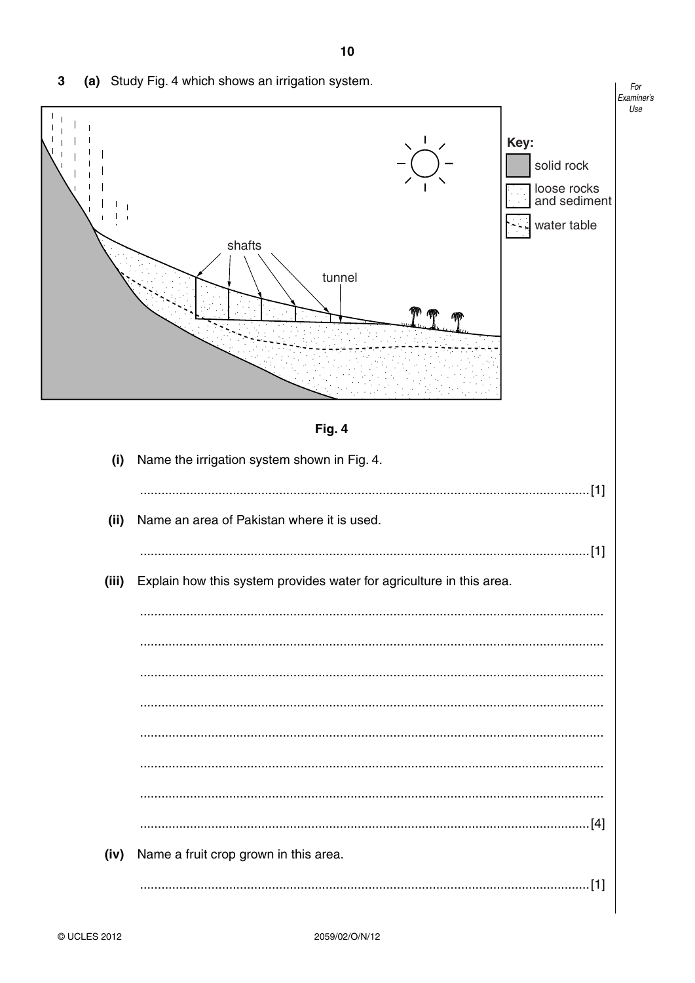

 $10$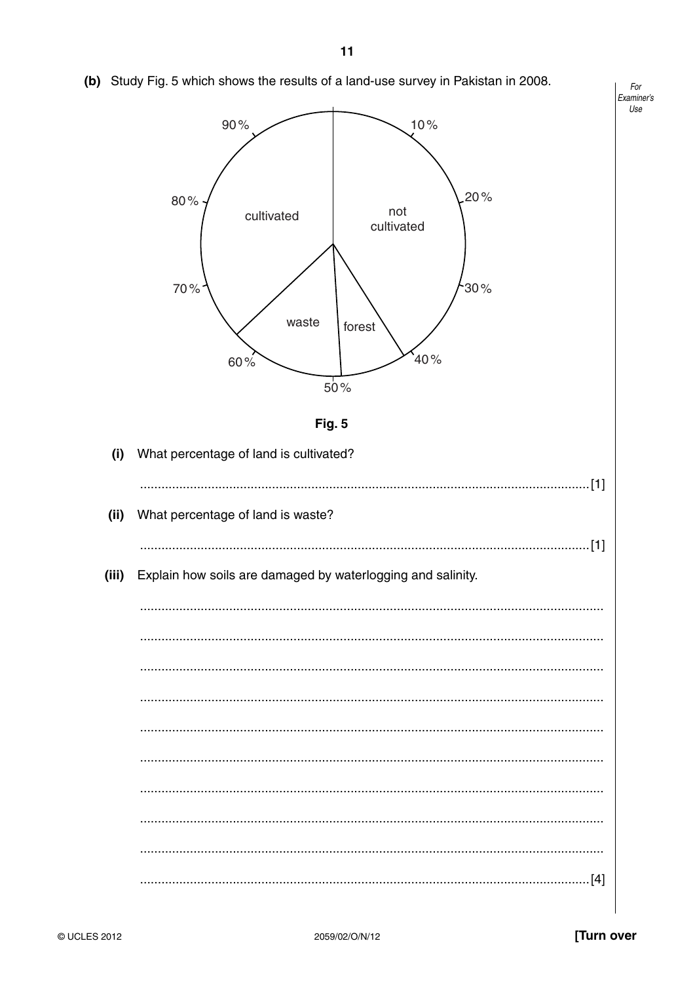

(b) Study Fig. 5 which shows the results of a land-use survey in Pakistan in 2008.

 $11$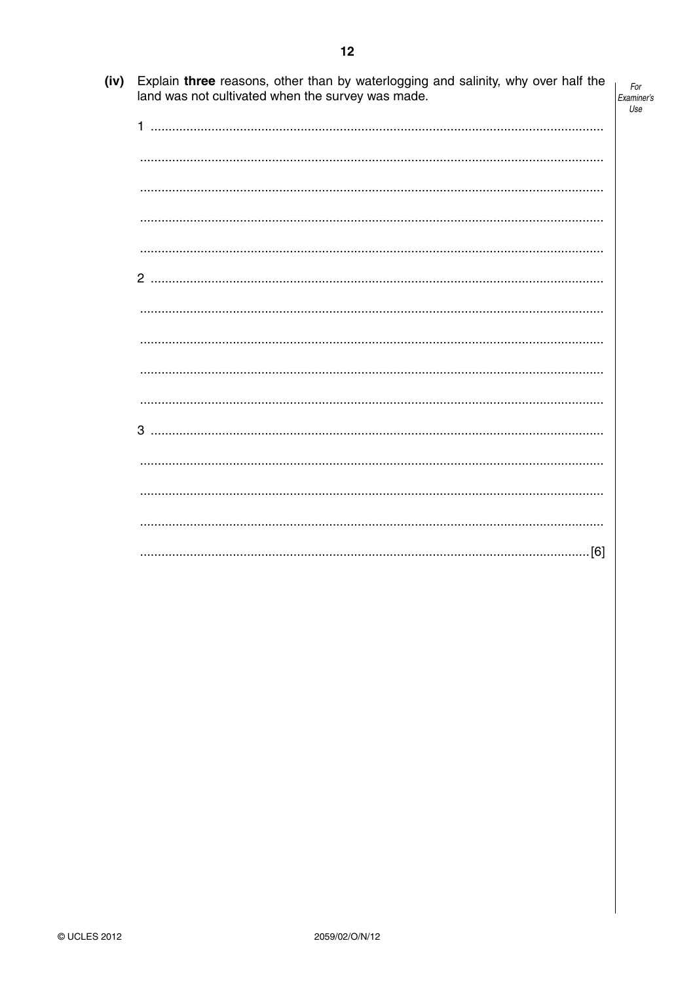(iv) Explain three reasons, other than by waterlogging and salinity, why over half the land was not cultivated when the survey was made.

For Examiner's Use

| 1 |
|---|
|   |
|   |
|   |
|   |
|   |
|   |
|   |
|   |
|   |
| 3 |
|   |
|   |
|   |
|   |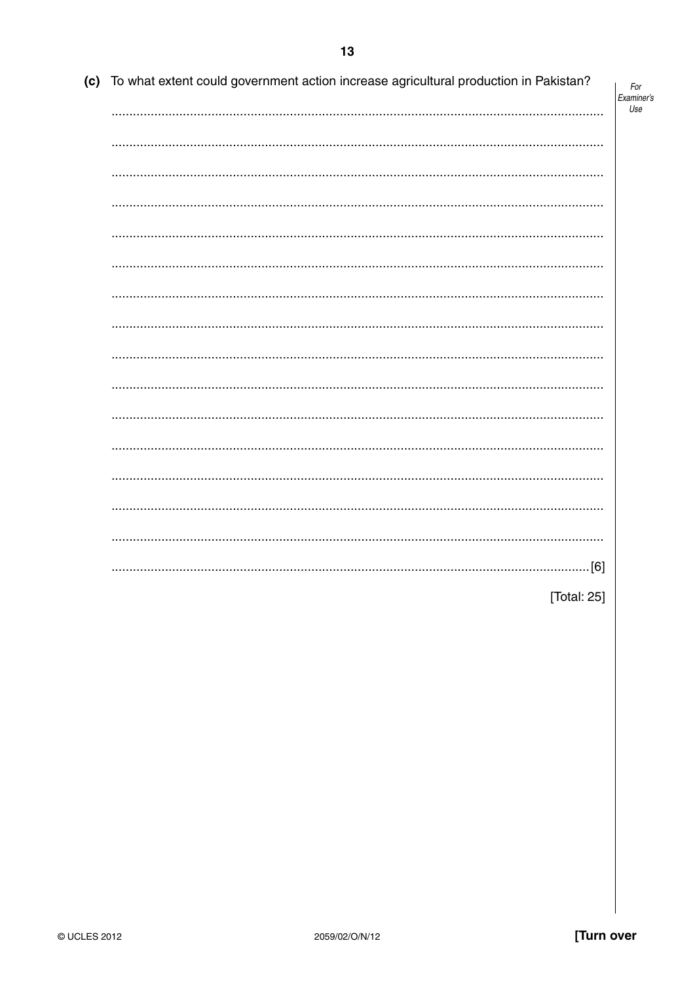| (c) To what extent could government action increase agricultural production in Pakistan? | For<br>Examiner's |
|------------------------------------------------------------------------------------------|-------------------|
|                                                                                          | Use               |
|                                                                                          |                   |
|                                                                                          |                   |
|                                                                                          |                   |
|                                                                                          |                   |
|                                                                                          |                   |
|                                                                                          |                   |
|                                                                                          |                   |
|                                                                                          |                   |
|                                                                                          |                   |
|                                                                                          |                   |
|                                                                                          |                   |
|                                                                                          |                   |
|                                                                                          |                   |
| [6]                                                                                      |                   |
| [Total: 25]                                                                              |                   |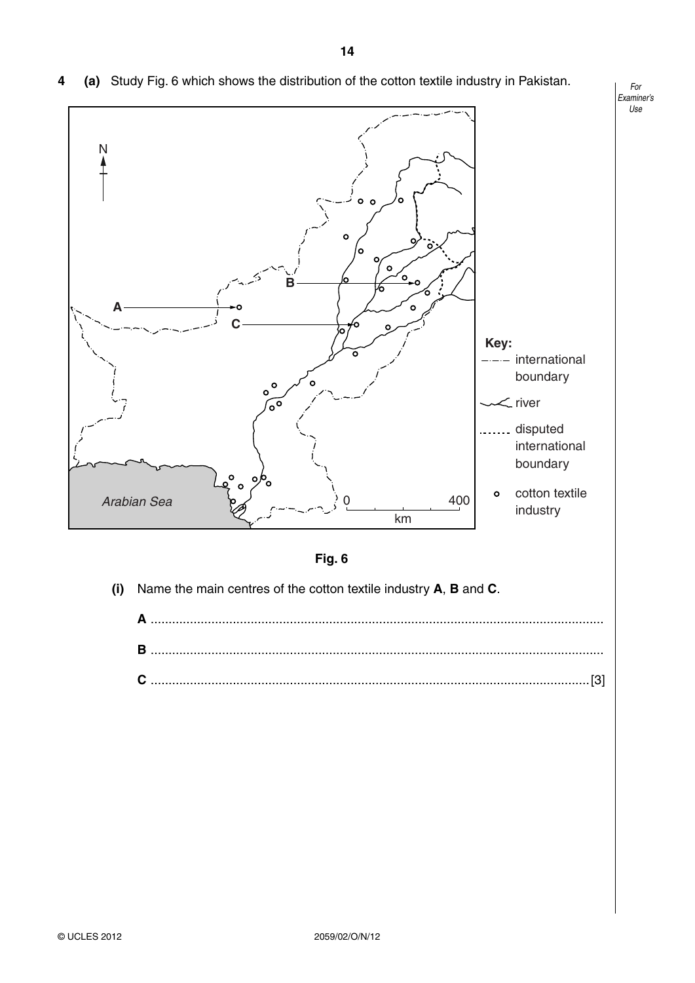



 **(i)** Name the main centres of the cotton textile industry **A**, **B** and **C**.



*For*

**4 (a)** Study Fig. 6 which shows the distribution of the cotton textile industry in Pakistan.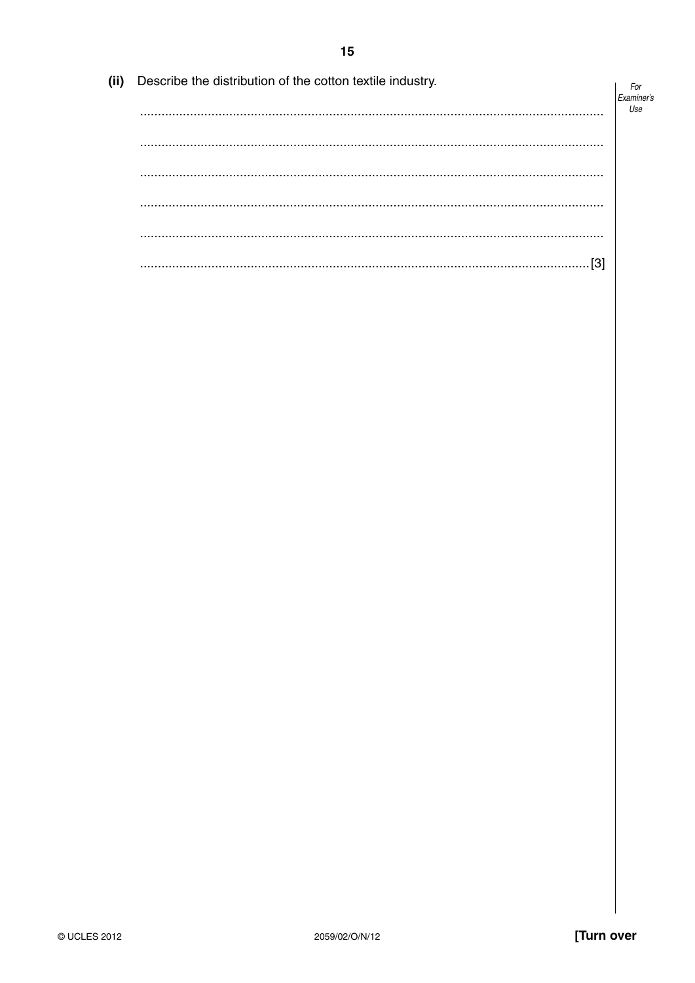$(ii)$ Describe the distribution of the cotton textile industry. For Examiner's Use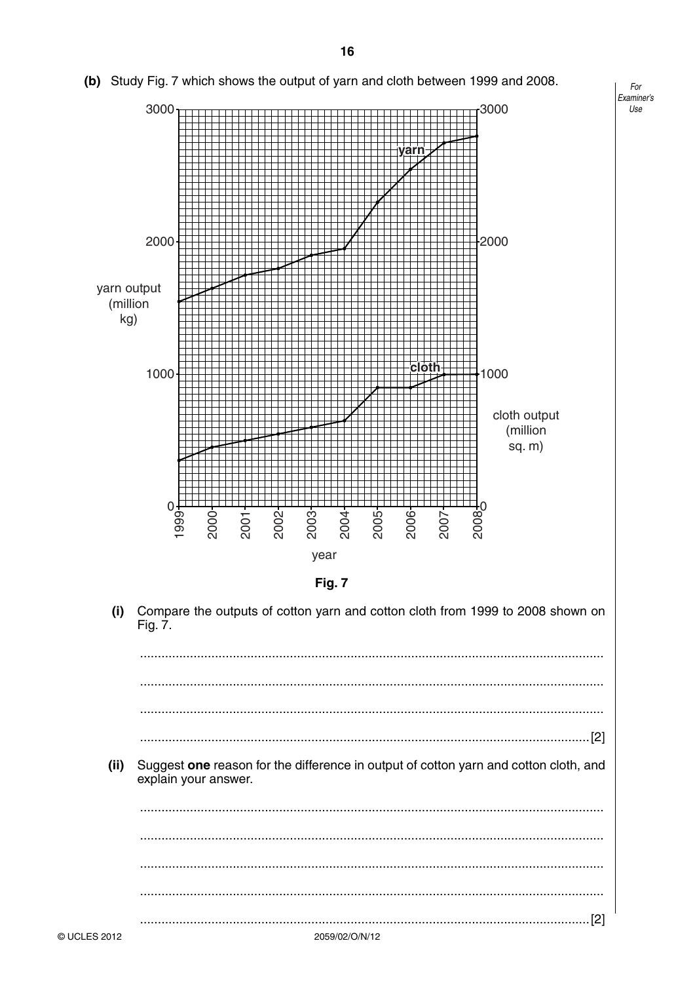

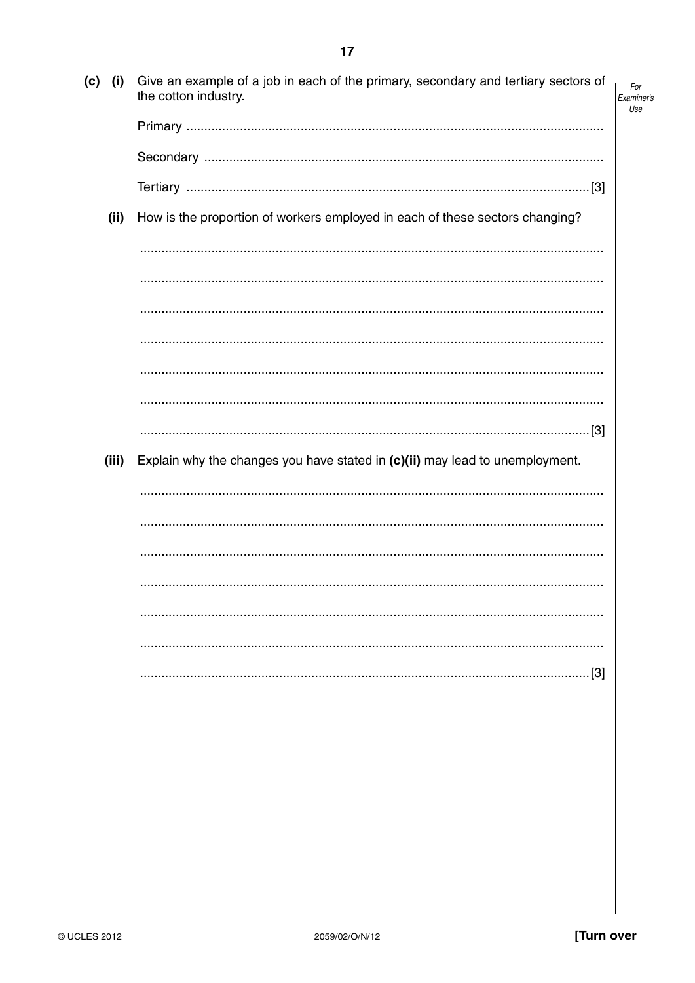| $(c)$ (i) |       | Give an example of a job in each of the primary, secondary and tertiary sectors of<br>the cotton industry. | For<br>Examiner's<br>Use |
|-----------|-------|------------------------------------------------------------------------------------------------------------|--------------------------|
|           |       |                                                                                                            |                          |
|           |       |                                                                                                            |                          |
|           |       |                                                                                                            |                          |
|           | (ii)  | How is the proportion of workers employed in each of these sectors changing?                               |                          |
|           |       |                                                                                                            |                          |
|           |       |                                                                                                            |                          |
|           |       |                                                                                                            |                          |
|           |       |                                                                                                            |                          |
|           |       |                                                                                                            |                          |
|           |       |                                                                                                            |                          |
|           |       |                                                                                                            |                          |
|           | (iii) | Explain why the changes you have stated in (c)(ii) may lead to unemployment.                               |                          |
|           |       |                                                                                                            |                          |
|           |       |                                                                                                            |                          |
|           |       |                                                                                                            |                          |
|           |       |                                                                                                            |                          |
|           |       |                                                                                                            |                          |
|           |       |                                                                                                            |                          |
|           |       |                                                                                                            |                          |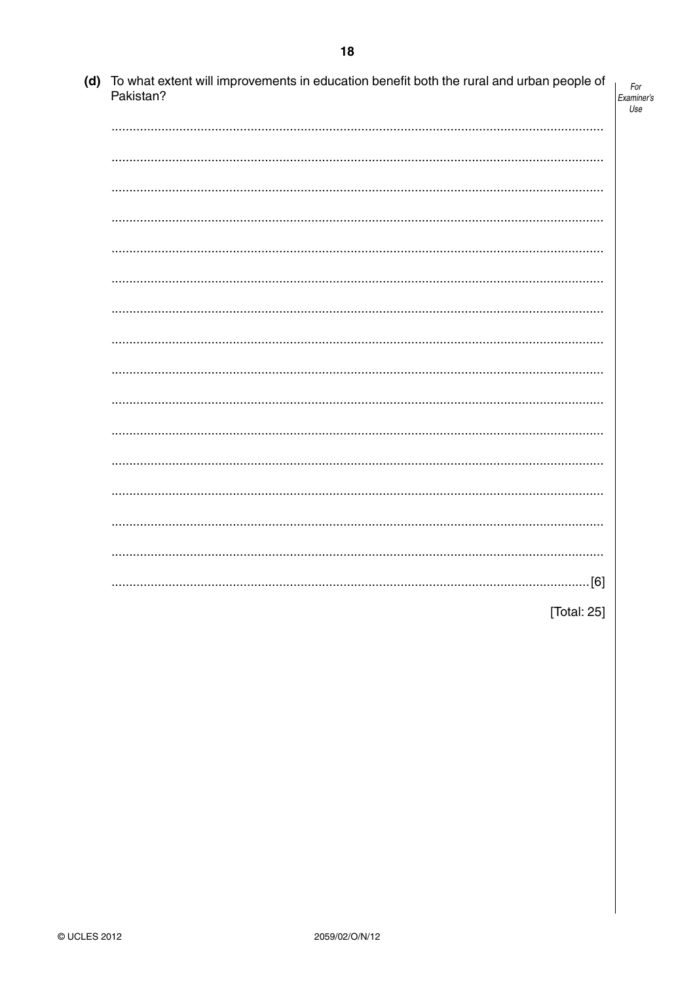(d) To what extent will improvements in education benefit both the rural and urban people of For Pakistan? Examiner's Use ...................... [Total: 25]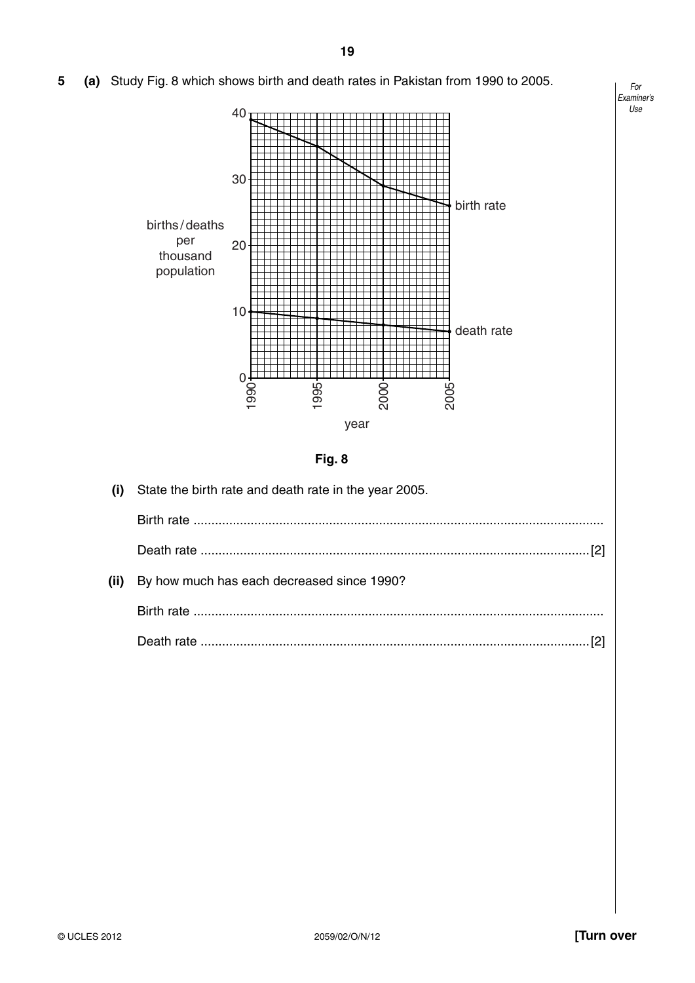**5 (a)** Study Fig. 8 which shows birth and death rates in Pakistan from 1990 to 2005.





| (i)  | State the birth rate and death rate in the year 2005. |
|------|-------------------------------------------------------|
|      |                                                       |
|      |                                                       |
| (ii) | By how much has each decreased since 1990?            |
|      |                                                       |
|      |                                                       |
|      |                                                       |

*For*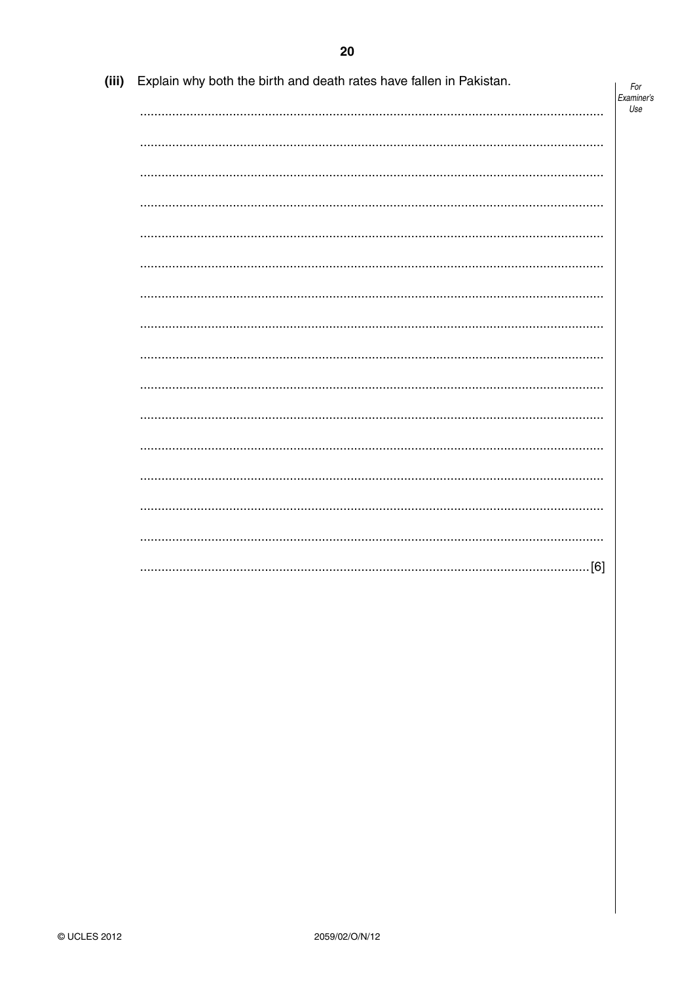| Explain why both the birth and death rates have fallen in Pakistan. | For        |
|---------------------------------------------------------------------|------------|
|                                                                     | Examiner's |
|                                                                     | Use        |
|                                                                     |            |
|                                                                     |            |
|                                                                     |            |
|                                                                     |            |
|                                                                     |            |
|                                                                     |            |
|                                                                     |            |
|                                                                     |            |
|                                                                     |            |
|                                                                     |            |
|                                                                     |            |
|                                                                     |            |
|                                                                     |            |
|                                                                     |            |
|                                                                     |            |

 $(iii)$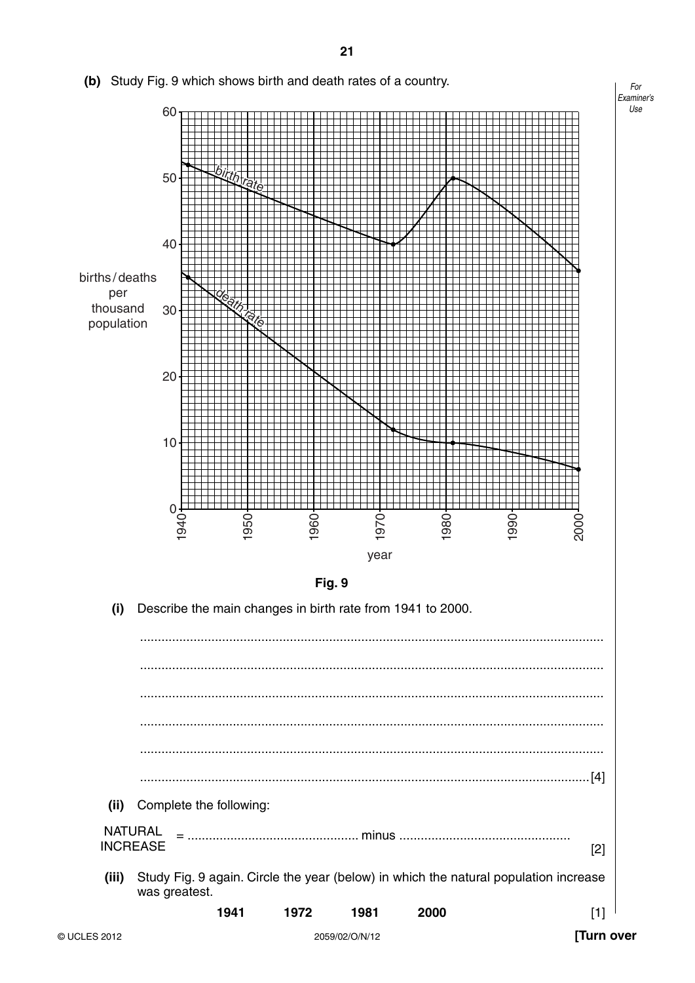

(b) Study Fig. 9 which shows birth and death rates of a country.

2059/02/O/N/12

[Turn over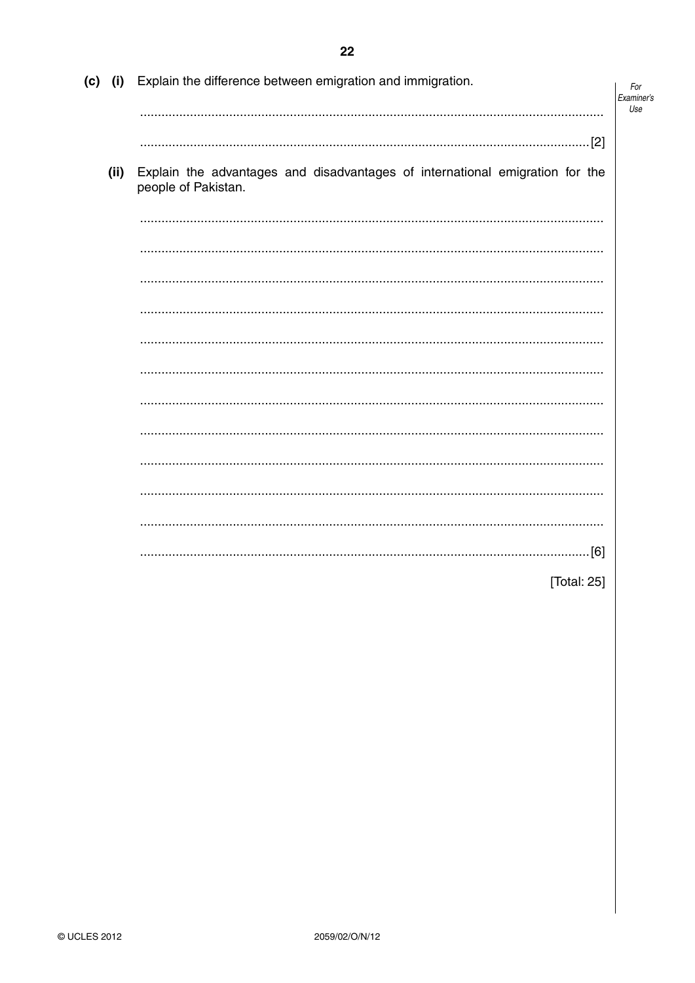| (c) | (i)  | Explain the difference between emigration and immigration.                                          | For<br>Examiner's<br>Use |
|-----|------|-----------------------------------------------------------------------------------------------------|--------------------------|
|     |      |                                                                                                     |                          |
|     | (ii) | Explain the advantages and disadvantages of international emigration for the<br>people of Pakistan. |                          |
|     |      |                                                                                                     |                          |
|     |      |                                                                                                     |                          |
|     |      |                                                                                                     |                          |
|     |      |                                                                                                     |                          |
|     |      |                                                                                                     |                          |
|     |      |                                                                                                     |                          |
|     |      |                                                                                                     |                          |
|     |      |                                                                                                     |                          |
|     |      |                                                                                                     |                          |
|     |      |                                                                                                     |                          |
|     |      |                                                                                                     |                          |
|     |      | $\ldots$ $[6]$                                                                                      |                          |
|     |      | [Total: 25]                                                                                         |                          |

 $22$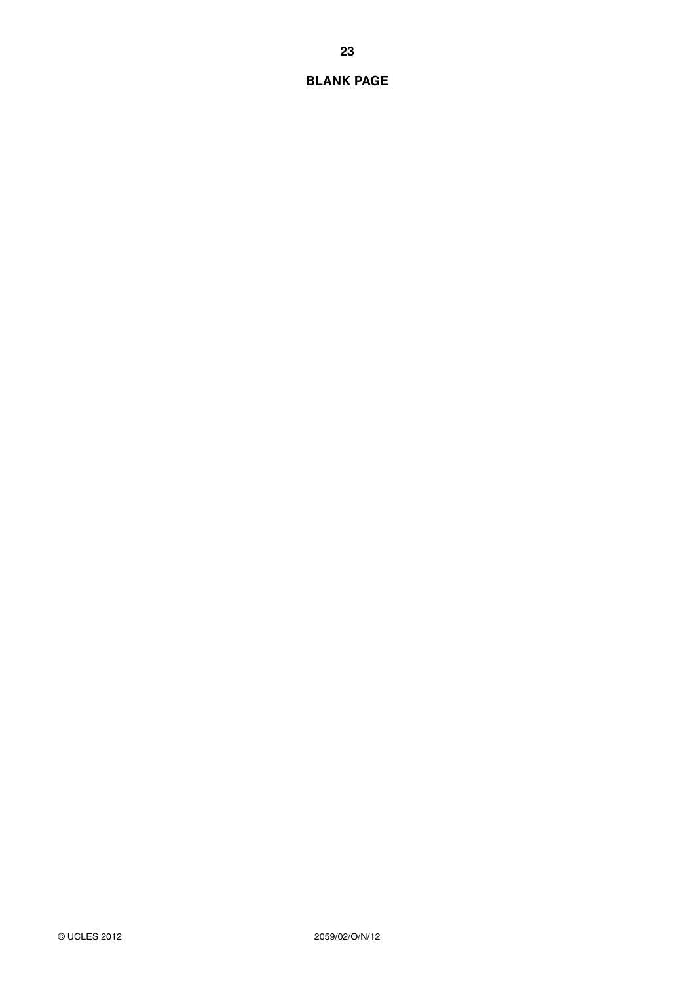## **BLANK PAGE**